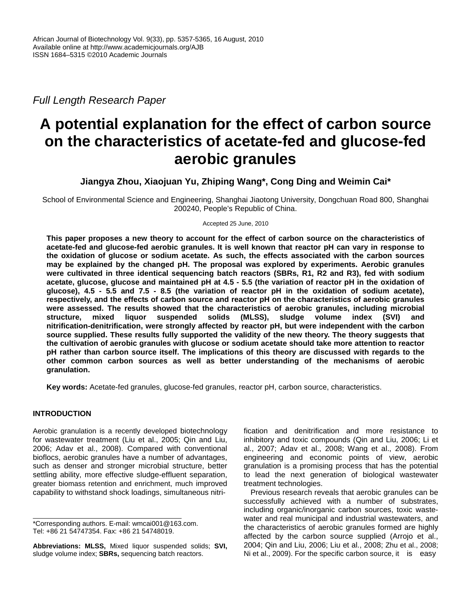*Full Length Research Paper* 

# **A potential explanation for the effect of carbon source on the characteristics of acetate-fed and glucose-fed aerobic granules**

**Jiangya Zhou, Xiaojuan Yu, Zhiping Wang\*, Cong Ding and Weimin Cai\*** 

School of Environmental Science and Engineering, Shanghai Jiaotong University, Dongchuan Road 800, Shanghai 200240, People's Republic of China.

Accepted 25 June, 2010

**This paper proposes a new theory to account for the effect of carbon source on the characteristics of acetate-fed and glucose-fed aerobic granules. It is well known that reactor pH can vary in response to the oxidation of glucose or sodium acetate. As such, the effects associated with the carbon sources may be explained by the changed pH. The proposal was explored by experiments. Aerobic granules were cultivated in three identical sequencing batch reactors (SBRs, R1, R2 and R3), fed with sodium acetate, glucose, glucose and maintained pH at 4.5 - 5.5 (the variation of reactor pH in the oxidation of glucose), 4.5 - 5.5 and 7.5 - 8.5 (the variation of reactor pH in the oxidation of sodium acetate), respectively, and the effects of carbon source and reactor pH on the characteristics of aerobic granules were assessed. The results showed that the characteristics of aerobic granules, including microbial structure, mixed liquor suspended solids (MLSS), sludge volume index (SVI) and nitrification-denitrification, were strongly affected by reactor pH, but were independent with the carbon source supplied. These results fully supported the validity of the new theory. The theory suggests that the cultivation of aerobic granules with glucose or sodium acetate should take more attention to reactor pH rather than carbon source itself. The implications of this theory are discussed with regards to the other common carbon sources as well as better understanding of the mechanisms of aerobic granulation.** 

**Key words:** Acetate-fed granules, glucose-fed granules, reactor pH, carbon source, characteristics.

# **INTRODUCTION**

Aerobic granulation is a recently developed biotechnology for wastewater treatment (Liu et al., 2005; Qin and Liu, 2006; Adav et al., 2008). Compared with conventional bioflocs, aerobic granules have a number of advantages, such as denser and stronger microbial structure, better settling ability, more effective sludge-effluent separation, greater biomass retention and enrichment, much improved capability to withstand shock loadings, simultaneous nitrification and denitrification and more resistance to inhibitory and toxic compounds (Qin and Liu, 2006; Li et al., 2007; Adav et al., 2008; Wang et al., 2008). From engineering and economic points of view, aerobic granulation is a promising process that has the potential to lead the next generation of biological wastewater treatment technologies.

Previous research reveals that aerobic granules can be successfully achieved with a number of substrates, including organic/inorganic carbon sources, toxic wastewater and real municipal and industrial wastewaters, and the characteristics of aerobic granules formed are highly affected by the carbon source supplied (Arrojo et al., 2004; Qin and Liu, 2006; Liu et al., 2008; Zhu et al., 2008; Ni et al., 2009). For the specific carbon source, it is easy

<sup>\*</sup>Corresponding authors. E-mail: wmcai001@163.com. Tel: +86 21 54747354. Fax: +86 21 54748019.

**Abbreviations: MLSS,** Mixed liquor suspended solids; **SVI,** sludge volume index; **SBRs,** sequencing batch reactors.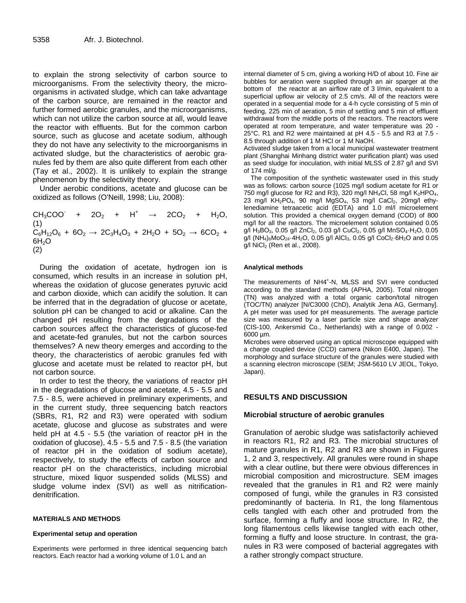to explain the strong selectivity of carbon source to microorganisms. From the selectivity theory, the microorganisms in activated sludge, which can take advantage of the carbon source, are remained in the reactor and further formed aerobic granules, and the microorganisms, which can not utilize the carbon source at all, would leave the reactor with effluents. But for the common carbon source, such as glucose and acetate sodium, although they do not have any selectivity to the microorganisms in activated sludge, but the characteristics of aerobic granules fed by them are also quite different from each other (Tay et al., 2002). It is unlikely to explain the strange phenomenon by the selectivity theory.

Under aerobic conditions, acetate and glucose can be oxidized as follows (O'Neill, 1998; Liu, 2008):

 $CH_3COO$  +  $2O_2$  +  $H^+$   $\rightarrow$   $2CO_2$  +  $H_2O$ , (1)  $C_6H_{12}O_6 + 6O_2 \rightarrow 2C_3H_4O_3 + 2H_2O + 5O_2 \rightarrow 6CO_2 +$  $6H<sub>2</sub>O$ (2)

During the oxidation of acetate, hydrogen ion is consumed, which results in an increase in solution pH, whereas the oxidation of glucose generates pyruvic acid and carbon dioxide, which can acidify the solution. It can be inferred that in the degradation of glucose or acetate, solution pH can be changed to acid or alkaline. Can the changed pH resulting from the degradations of the carbon sources affect the characteristics of glucose-fed and acetate-fed granules, but not the carbon sources themselves? A new theory emerges and according to the theory, the characteristics of aerobic granules fed with glucose and acetate must be related to reactor pH, but not carbon source.

In order to test the theory, the variations of reactor pH in the degradations of glucose and acetate, 4.5 - 5.5 and 7.5 - 8.5, were achieved in preliminary experiments, and in the current study, three sequencing batch reactors (SBRs, R1, R2 and R3) were operated with sodium acetate, glucose and glucose as substrates and were held pH at 4.5 - 5.5 (the variation of reactor pH in the oxidation of glucose), 4.5 - 5.5 and 7.5 - 8.5 (the variation of reactor pH in the oxidation of sodium acetate), respectively, to study the effects of carbon source and reactor pH on the characteristics, including microbial structure, mixed liquor suspended solids (MLSS) and sludge volume index (SVI) as well as nitrificationdenitrification.

### **MATERIALS AND METHODS**

#### **Experimental setup and operation**

Experiments were performed in three identical sequencing batch reactors. Each reactor had a working volume of 1.0 L and an

internal diameter of 5 cm, giving a working H/D of about 10. Fine air bubbles for aeration were supplied through an air sparger at the bottom of the reactor at an airflow rate of 3 I/min, equivalent to a superficial upflow air velocity of 2.5 cm/s. All of the reactors were operated in a sequential mode for a 4-h cycle consisting of 5 min of feeding, 225 min of aeration, 5 min of settling and 5 min of effluent withdrawal from the middle ports of the reactors. The reactors were operated at room temperature, and water temperature was 20 - 25°C. R1 and R2 were maintained at pH 4.5 - 5.5 and R3 at 7.5 - 8.5 through addition of 1 M HCl or 1 M NaOH.

Activated sludge taken from a local municipal wastewater treatment plant (Shanghai Minhang district water purification plant) was used as seed sludge for inoculation, with initial MLSS of 2.87 g/l and SVI of 174 ml/g.

The composition of the synthetic wastewater used in this study was as follows: carbon source (1025 mg/l sodium acetate for R1 or 750 mg/l glucose for R2 and R3), 320 mg/l NH<sub>4</sub>Cl, 58 mg/l K<sub>2</sub>HPO<sub>4</sub>, 23 mg/l KH<sub>2</sub>PO<sub>4</sub>, 90 mg/l MgSO<sub>4</sub>, 53 mg/l CaCl<sub>2</sub>, 20mg/l ethylenediamine tetraacetic acid (EDTA) and 1.0 ml/l microelement solution. This provided a chemical oxygen demand (COD) of 800 mg/l for all the reactors. The microelement solution contained 0.05 g/l H<sub>3</sub>BO<sub>3</sub>, 0.05 g/l ZnCl<sub>2</sub>, 0.03 g/l CuCl<sub>2</sub>, 0.05 g/l MnSO<sub>4</sub>·H<sub>2</sub>O, 0.05 g/l (NH4)6MoO24·4H2O, 0.05 g/l AlCl3, 0.05 g/l CoCl2·6H2O and 0.05 g/l NiCl2 (Ren et al., 2008).

#### **Analytical methods**

The measurements of NH4<sup>+</sup>-N, MLSS and SVI were conducted according to the standard methods (APHA, 2005). Total nitrogen (TN) was analyzed with a total organic carbon/total nitrogen (TOC/TN) analyzer [N/C3000 (ChD), Analytik Jena AG, Germany]. A pH meter was used for pH measurements. The average particle size was measured by a laser particle size and shape analyzer (CIS-100, Ankersmid Co., Netherlands) with a range of 0.002 - 6000 µm.

Microbes were observed using an optical microscope equipped with a charge coupled device (CCD) camera (Nikon E400, Japan). The morphology and surface structure of the granules were studied with a scanning electron microscope (SEM; JSM-5610 LV JEOL, Tokyo, Japan).

# **RESULTS AND DISCUSSION**

## **Microbial structure of aerobic granules**

Granulation of aerobic sludge was satisfactorily achieved in reactors R1, R2 and R3. The microbial structures of mature granules in R1, R2 and R3 are shown in Figures 1, 2 and 3, respectively. All granules were round in shape with a clear outline, but there were obvious differences in microbial composition and microstructure. SEM images revealed that the granules in R1 and R2 were mainly composed of fungi, while the granules in R3 consisted predominantly of bacteria. In R1, the long filamentous cells tangled with each other and protruded from the surface, forming a fluffy and loose structure. In R2, the long filamentous cells likewise tangled with each other, forming a fluffy and loose structure. In contrast, the granules in R3 were composed of bacterial aggregates with a rather strongly compact structure.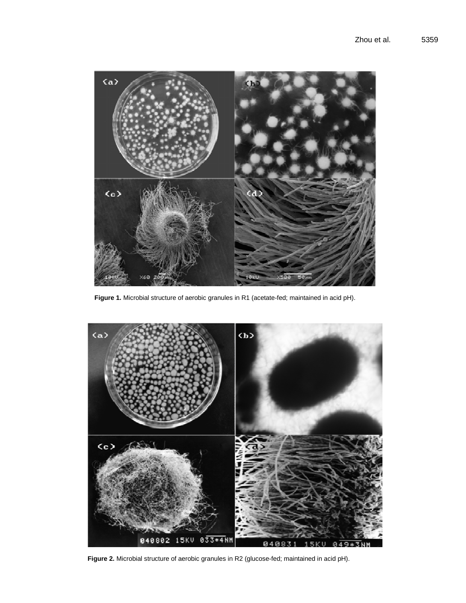

**Figure 1.** Microbial structure of aerobic granules in R1 (acetate-fed; maintained in acid pH).



**Figure 2.** Microbial structure of aerobic granules in R2 (glucose-fed; maintained in acid pH).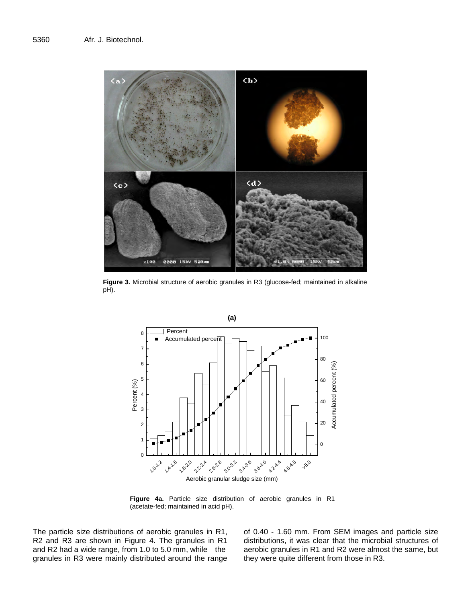

**Figure 3.** Microbial structure of aerobic granules in R3 (glucose-fed; maintained in alkaline pH).



**Figure 4a.** Particle size distribution of aerobic granules in R1 (acetate-fed; maintained in acid pH).

The particle size distributions of aerobic granules in R1, R2 and R3 are shown in Figure 4. The granules in R1 and R2 had a wide range, from 1.0 to 5.0 mm, while the granules in R3 were mainly distributed around the range of 0.40 - 1.60 mm. From SEM images and particle size distributions, it was clear that the microbial structures of aerobic granules in R1 and R2 were almost the same, but they were quite different from those in R3.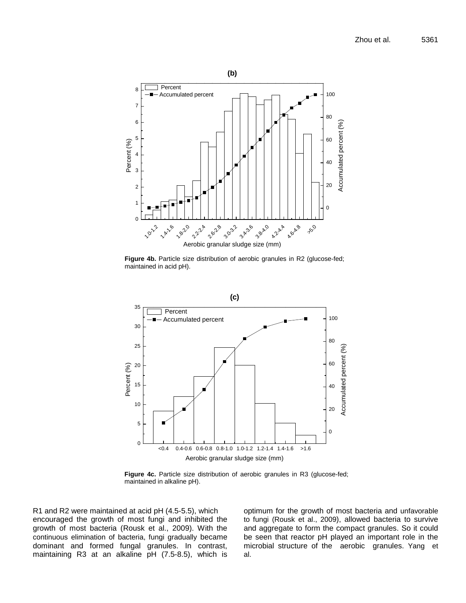

Figure 4b. Particle size distribution of aerobic granules in R2 (glucose-fed; maintained in acid pH).



Figure 4c. Particle size distribution of aerobic granules in R3 (glucose-fed; maintained in alkaline pH).

R1 and R2 were maintained at acid pH (4.5-5.5), which encouraged the growth of most fungi and inhibited the growth of most bacteria (Rousk et al., 2009). With the continuous elimination of bacteria, fungi gradually became dominant and formed fungal granules. In contrast, maintaining R3 at an alkaline pH (7.5-8.5), which is optimum for the growth of most bacteria and unfavorable to fungi (Rousk et al., 2009), allowed bacteria to survive and aggregate to form the compact granules. So it could be seen that reactor pH played an important role in the microbial structure of the aerobic granules. Yang et al.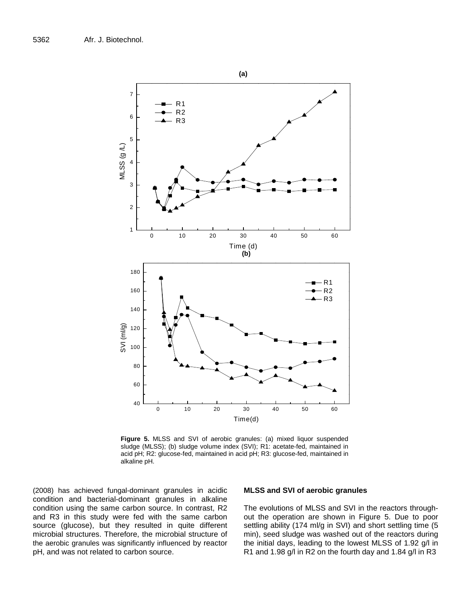

**Figure 5.** MLSS and SVI of aerobic granules: (a) mixed liquor suspended sludge (MLSS); (b) sludge volume index (SVI); R1: acetate-fed, maintained in acid pH; R2: glucose-fed, maintained in acid pH; R3: glucose-fed, maintained in alkaline pH.

(2008) has achieved fungal-dominant granules in acidic condition and bacterial-dominant granules in alkaline condition using the same carbon source. In contrast, R2 and R3 in this study were fed with the same carbon source (glucose), but they resulted in quite different microbial structures. Therefore, the microbial structure of the aerobic granules was significantly influenced by reactor pH, and was not related to carbon source.

#### **MLSS and SVI of aerobic granules**

The evolutions of MLSS and SVI in the reactors throughout the operation are shown in Figure 5. Due to poor settling ability (174 ml/g in SVI) and short settling time (5 min), seed sludge was washed out of the reactors during the initial days, leading to the lowest MLSS of 1.92 g/l in R1 and 1.98 g/l in R2 on the fourth day and 1.84 g/l in R3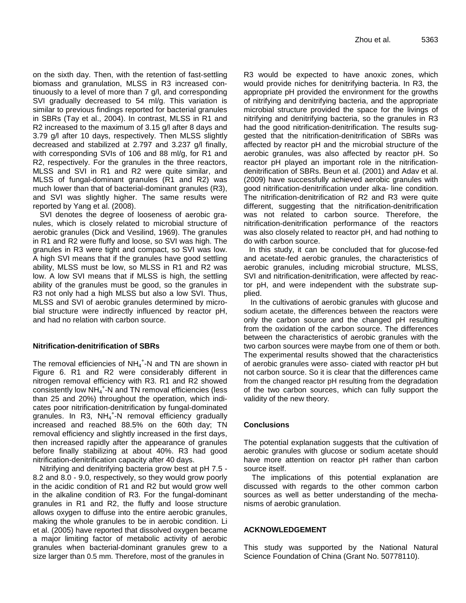on the sixth day. Then, with the retention of fast-settling biomass and granulation, MLSS in R3 increased continuously to a level of more than 7 g/l, and corresponding SVI gradually decreased to 54 ml/g. This variation is similar to previous findings reported for bacterial granules in SBRs (Tay et al., 2004). In contrast, MLSS in R1 and R2 increased to the maximum of 3.15 g/l after 8 days and 3.79 g/l after 10 days, respectively. Then MLSS slightly decreased and stabilized at 2.797 and 3.237 g/l finally, with corresponding SVIs of 106 and 88 ml/g, for R1 and R2, respectively. For the granules in the three reactors, MLSS and SVI in R1 and R2 were quite similar, and MLSS of fungal-dominant granules (R1 and R2) was much lower than that of bacterial-dominant granules (R3), and SVI was slightly higher. The same results were reported by Yang et al. (2008).

SVI denotes the degree of looseness of aerobic granules, which is closely related to microbial structure of aerobic granules (Dick and Vesilind, 1969). The granules in R1 and R2 were fluffy and loose, so SVI was high. The granules in R3 were tight and compact, so SVI was low. A high SVI means that if the granules have good settling ability, MLSS must be low, so MLSS in R1 and R2 was low. A low SVI means that if MLSS is high, the settling ability of the granules must be good, so the granules in R3 not only had a high MLSS but also a low SVI. Thus, MLSS and SVI of aerobic granules determined by microbial structure were indirectly influenced by reactor pH, and had no relation with carbon source.

# **Nitrification-denitrification of SBRs**

The removal efficiencies of  $NH_4^+$ -N and TN are shown in Figure 6. R1 and R2 were considerably different in nitrogen removal efficiency with R3. R1 and R2 showed consistently low NH<sub>4</sub><sup>+</sup>-N and TN removal efficiencies (less than 25 and 20%) throughout the operation, which indicates poor nitrification-denitrification by fungal-dominated granules. In R3, NH<sub>4</sub><sup>+</sup>-N removal efficiency gradually increased and reached 88.5% on the 60th day; TN removal efficiency and slightly increased in the first days, then increased rapidly after the appearance of granules before finally stabilizing at about 40%. R3 had good nitrification-denitrification capacity after 40 days.

Nitrifying and denitrifying bacteria grow best at pH 7.5 - 8.2 and 8.0 - 9.0, respectively, so they would grow poorly in the acidic condition of R1 and R2 but would grow well in the alkaline condition of R3. For the fungal-dominant granules in R1 and R2, the fluffy and loose structure allows oxygen to diffuse into the entire aerobic granules, making the whole granules to be in aerobic condition. Li et al. (2005) have reported that dissolved oxygen became a major limiting factor of metabolic activity of aerobic granules when bacterial-dominant granules grew to a size larger than 0.5 mm. Therefore, most of the granules in

R3 would be expected to have anoxic zones, which would provide niches for denitrifying bacteria. In R3, the appropriate pH provided the environment for the growths of nitrifying and denitrifying bacteria, and the appropriate microbial structure provided the space for the livings of nitrifying and denitrifying bacteria, so the granules in R3 had the good nitrification-denitrification. The results suggested that the nitrification-denitrification of SBRs was affected by reactor pH and the microbial structure of the aerobic granules, was also affected by reactor pH. So reactor pH played an important role in the nitrificationdenitrification of SBRs. Beun et al. (2001) and Adav et al. (2009) have successfully achieved aerobic granules with good nitrification-denitrification under alka- line condition. The nitrification-denitrification of R2 and R3 were quite different, suggesting that the nitrification-denitrification was not related to carbon source. Therefore, the nitrification-denitrification performance of the reactors was also closely related to reactor pH, and had nothing to do with carbon source.

In this study, it can be concluded that for glucose-fed and acetate-fed aerobic granules, the characteristics of aerobic granules, including microbial structure, MLSS, SVI and nitrification-denitrification, were affected by reactor pH, and were independent with the substrate supplied.

In the cultivations of aerobic granules with glucose and sodium acetate, the differences between the reactors were only the carbon source and the changed pH resulting from the oxidation of the carbon source. The differences between the characteristics of aerobic granules with the two carbon sources were maybe from one of them or both. The experimental results showed that the characteristics of aerobic granules were asso- ciated with reactor pH but not carbon source. So it is clear that the differences came from the changed reactor pH resulting from the degradation of the two carbon sources, which can fully support the validity of the new theory.

# **Conclusions**

The potential explanation suggests that the cultivation of aerobic granules with glucose or sodium acetate should have more attention on reactor pH rather than carbon source itself.

The implications of this potential explanation are discussed with regards to the other common carbon sources as well as better understanding of the mechanisms of aerobic granulation.

# **ACKNOWLEDGEMENT**

This study was supported by the National Natural Science Foundation of China (Grant No. 50778110).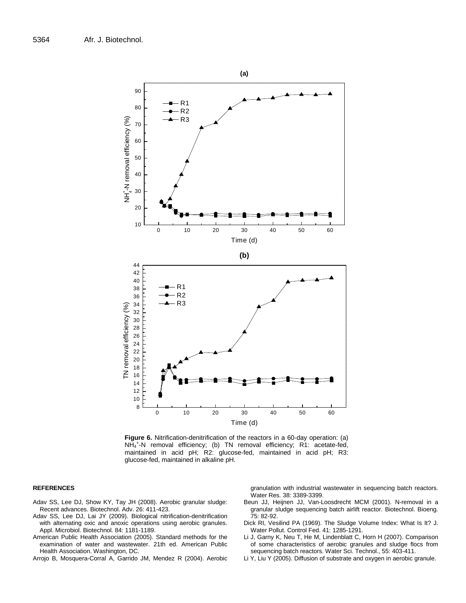

**Figure 6.** Nitrification-denitrification of the reactors in a 60-day operation: (a) NH<sup>4</sup> + -N removal efficiency; (b) TN removal efficiency; R1: acetate-fed, maintained in acid pH; R2: glucose-fed, maintained in acid pH; R3: glucose-fed, maintained in alkaline pH.

#### **REFERENCES**

- Adav SS, Lee DJ, Show KY, Tay JH (2008). Aerobic granular sludge: Recent advances. Biotechnol. Adv. 26: 411-423.
- Adav SS, Lee DJ, Lai JY (2009). Biological nitrification-denitrification with alternating oxic and anoxic operations using aerobic granules. Appl. Microbiol. Biotechnol. 84: 1181-1189.
- American Public Health Association (2005). Standard methods for the examination of water and wastewater. 21th ed. American Public Health Association. Washington, DC.

Arrojo B, Mosquera-Corral A, Garrido JM, Mendez R (2004). Aerobic

granulation with industrial wastewater in sequencing batch reactors. Water Res. 38: 3389-3399.

- Beun JJ, Heijnen JJ, Van-Loosdrecht MCM (2001). N-removal in a granular sludge sequencing batch airlift reactor. Biotechnol. Bioeng. 75: 82-92.
- Dick RI, Vesilind PA (1969). The Sludge Volume Index: What Is It? J. Water Pollut. Control Fed. 41: 1285-1291.
- Li J, Garny K, Neu T, He M, Lindenblatt C, Horn H (2007). Comparison of some characteristics of aerobic granules and sludge flocs from sequencing batch reactors. Water Sci. Technol., 55: 403-411.
- Li Y, Liu Y (2005). Diffusion of substrate and oxygen in aerobic granule.